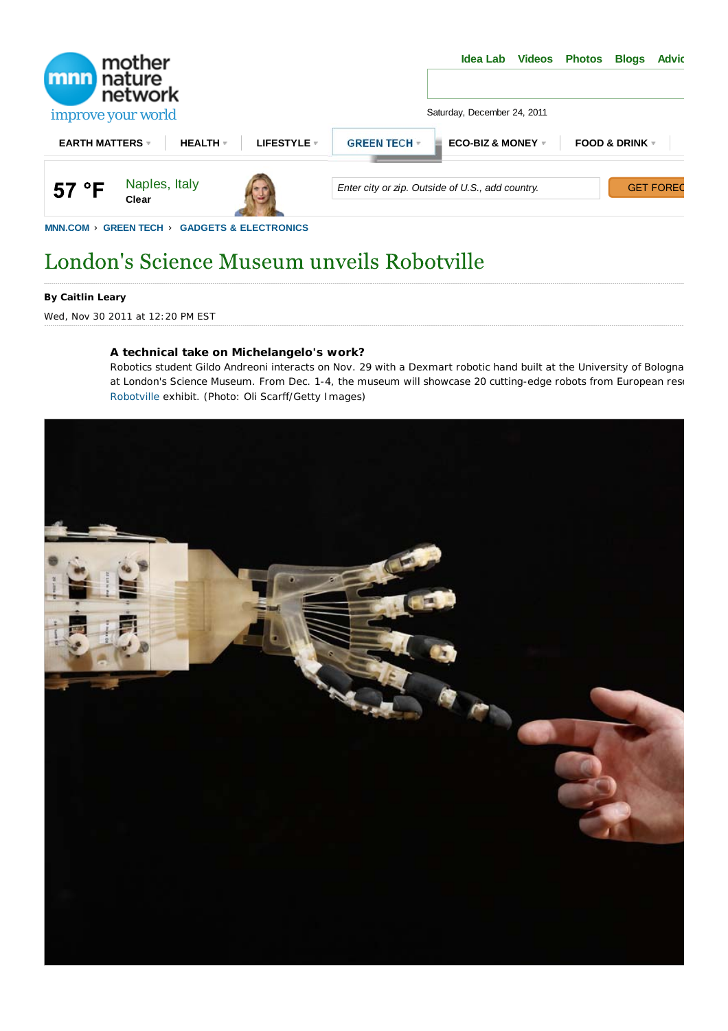

# London's Science Museum unveils Robotville

#### **By Caitlin Leary**

Wed, Nov 30 2011 at 12:20 PM EST

#### **A technical take on Michelangelo's work?**

Robotics student Gildo Andreoni interacts on Nov. 29 with a Dexmart robotic hand built at the University of Bologna at London's Science Museum. From Dec. 1-4, the museum will showcase 20 cutting-edge robots from European rese Robotville exhibit. (Photo: Oli Scarff/Getty Images)

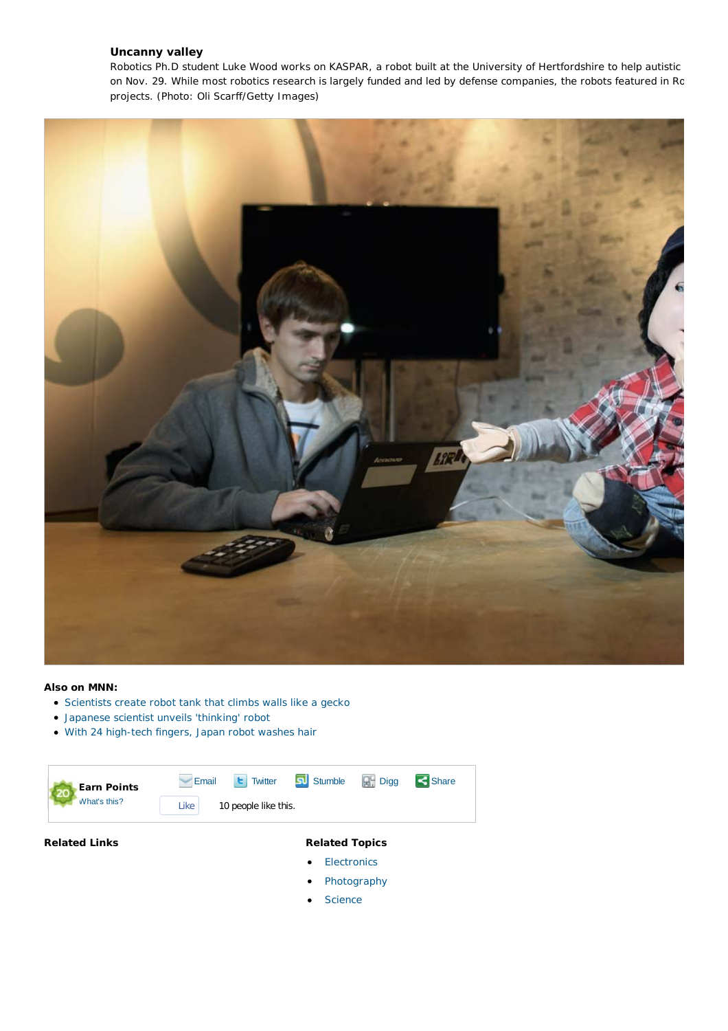### **Uncanny valley**

Robotics Ph.D student Luke Wood works on KASPAR, a robot built at the University of Hertfordshire to help autistic on Nov. 29. While most robotics research is largely funded and led by defense companies, the robots featured in Ro projects. (Photo: Oli Scarff/Getty Images)



#### **Also on MNN:**

- Scientists create robot tank that climbs walls like a gecko
- Japanese scientist unveils 'thinking' robot
- With 24 high-tech fingers, Japan robot washes hair

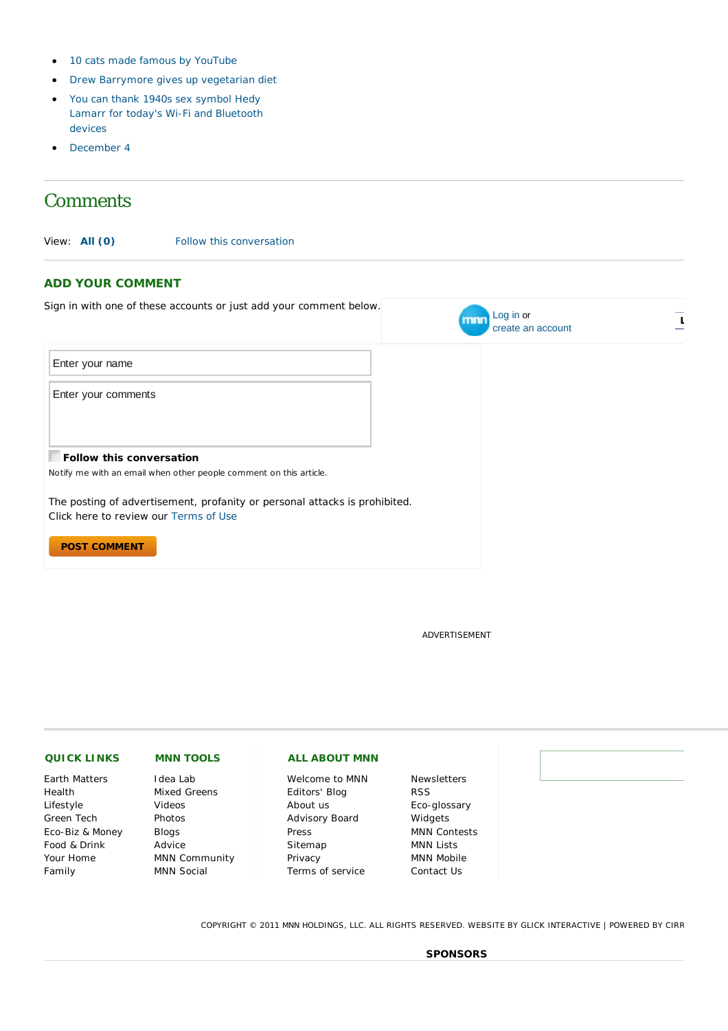- 10 cats made famous by YouTube
- Drew Barrymore gives up vegetarian diet
- You can thank 1940s sex symbol Hedy Lamarr for today's Wi-Fi and Bluetooth devices
- December 4

## *Comments*

View: **All (0)** Follow this conversation

#### **ADD YOUR COMMENT**

| Sign in with one of these accounts or just add your comment below.                                                  | Log in or<br>mnn<br>create an account |
|---------------------------------------------------------------------------------------------------------------------|---------------------------------------|
| Enter your name                                                                                                     |                                       |
| Enter your comments                                                                                                 |                                       |
| <b>Follow this conversation</b>                                                                                     |                                       |
| Notify me with an email when other people comment on this article.                                                  |                                       |
| The posting of advertisement, profanity or personal attacks is prohibited.<br>Click here to review our Terms of Use |                                       |
| <b>POST COMMENT</b>                                                                                                 |                                       |

ADVERTISEMENT

| <b>QUICK LINKS</b>   | <b>MNN TOOLS</b>     | <b>ALL ABOUT MNN</b> |                     |
|----------------------|----------------------|----------------------|---------------------|
| <b>Earth Matters</b> | Idea Lab             | Welcome to MNN       | <b>Newsletters</b>  |
| Health               | Mixed Greens         | Editors' Blog        | <b>RSS</b>          |
| Lifestyle            | Videos               | About us             | Eco-glossary        |
| Green Tech           | Photos               | Advisory Board       | Widgets             |
| Eco-Biz & Money      | <b>Blogs</b>         | Press                | <b>MNN Contests</b> |
| Food & Drink         | Advice               | Sitemap              | <b>MNN Lists</b>    |
| Your Home            | <b>MNN Community</b> | Privacy              | <b>MNN Mobile</b>   |
| Family               | <b>MNN Social</b>    | Terms of service     | Contact Us          |

COPYRIGHT © 2011 MNN HOLDINGS, LLC. ALL RIGHTS RESERVED. WEBSITE BY GLICK INTERACTIVE | POWERED BY CIRR